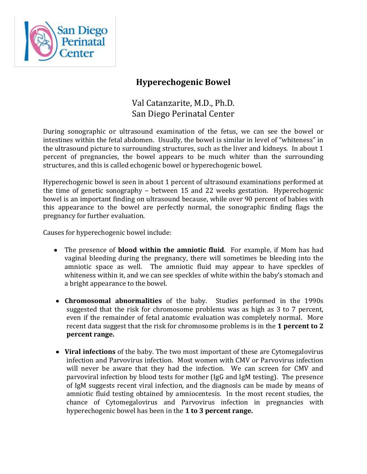

## **Hyperechogenic Bowel**

## Val Catanzarite, M.D., Ph.D. San Diego Perinatal Center

During sonographic or ultrasound examination of the fetus, we can see the bowel or intestines within the fetal abdomen. Usually, the bowel is similar in level of "whiteness" in the ultrasound picture to surrounding structures, such as the liver and kidneys. In about 1 percent of pregnancies, the bowel appears to be much whiter than the surrounding structures, and this is called echogenic bowel or hyperechogenic bowel.

Hyperechogenic bowel is seen in about 1 percent of ultrasound examinations performed at the time of genetic sonography – between 15 and 22 weeks gestation. Hyperechogenic bowel is an important finding on ultrasound because, while over 90 percent of babies with this appearance to the bowel are perfectly normal, the sonographic finding flags the pregnancy for further evaluation.

Causes for hyperechogenic bowel include:

- The presence of **blood within the amniotic fluid**. For example, if Mom has had vaginal bleeding during the pregnancy, there will sometimes be bleeding into the amniotic space as well. The amniotic fluid may appear to have speckles of whiteness within it, and we can see speckles of white within the baby's stomach and a bright appearance to the bowel.
- **Chromosomal abnormalities** of the baby. Studies performed in the 1990s suggested that the risk for chromosome problems was as high as 3 to 7 percent, even if the remainder of fetal anatomic evaluation was completely normal. More recent data suggest that the risk for chromosome problems is in the **1 percent to 2 percent range.**
- **Viral infections** of the baby. The two most important of these are Cytomegalovirus infection and Parvovirus infection. Most women with CMV or Parvovirus infection will never be aware that they had the infection. We can screen for CMV and parvoviral infection by blood tests for mother (IgG and IgM testing). The presence of IgM suggests recent viral infection, and the diagnosis can be made by means of amniotic fluid testing obtained by amniocentesis. In the most recent studies, the chance of Cytomegalovirus and Parvovirus infection in pregnancies with hyperechogenic bowel has been in the **1 to 3 percent range.**